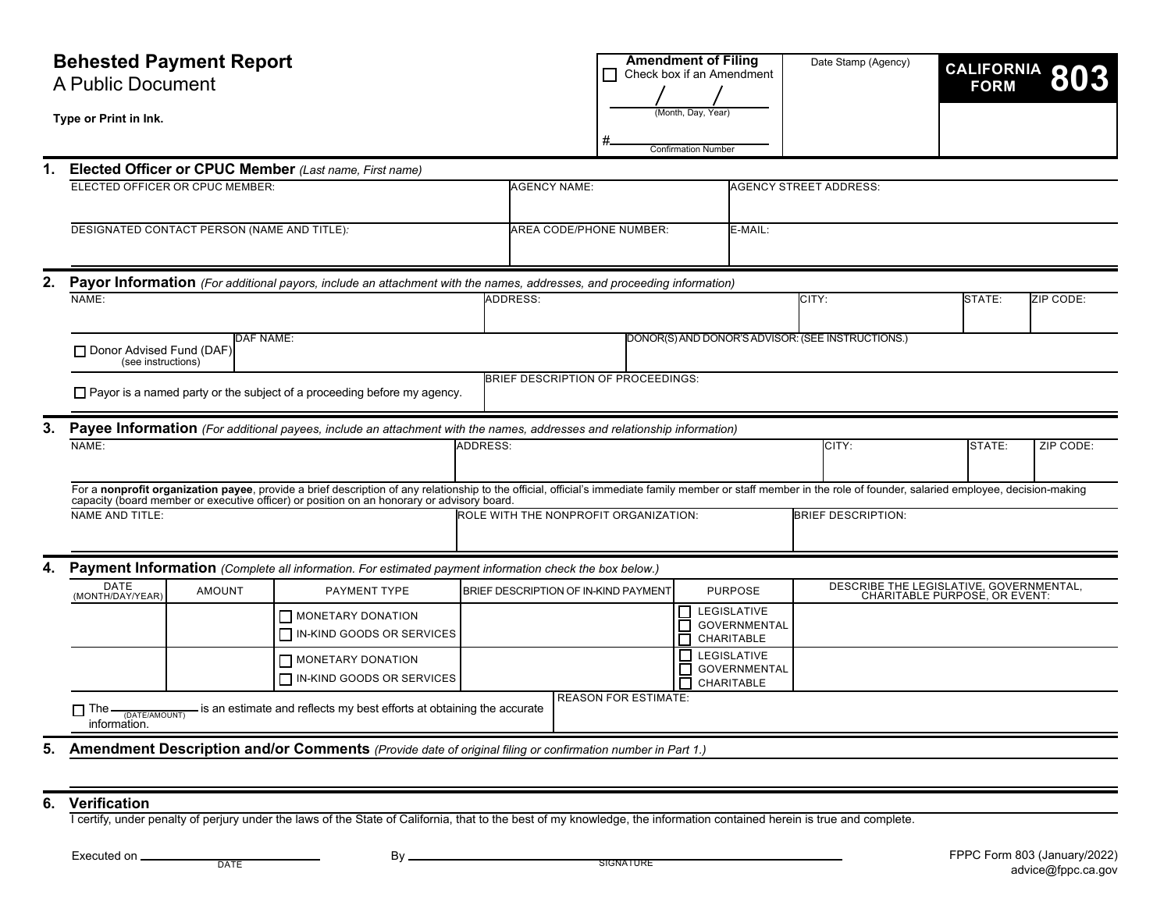|    | <b>Behested Payment Report</b><br>A Public Document                                                                                                                                                                                                                                                              |                                                                                                                        |                                                                                                           |                                                |                             | <b>Amendment of Filing</b><br>Check box if an Amendment |                               |                                                         | Date Stamp (Agency)       |                                                                          |           | CALIFORNIA 803 |  |
|----|------------------------------------------------------------------------------------------------------------------------------------------------------------------------------------------------------------------------------------------------------------------------------------------------------------------|------------------------------------------------------------------------------------------------------------------------|-----------------------------------------------------------------------------------------------------------|------------------------------------------------|-----------------------------|---------------------------------------------------------|-------------------------------|---------------------------------------------------------|---------------------------|--------------------------------------------------------------------------|-----------|----------------|--|
|    | Type or Print in Ink.                                                                                                                                                                                                                                                                                            |                                                                                                                        |                                                                                                           | Month, Day, Year<br><b>Confirmation Number</b> |                             |                                                         |                               |                                                         |                           |                                                                          |           |                |  |
| 1. |                                                                                                                                                                                                                                                                                                                  | Elected Officer or CPUC Member (Last name, First name)                                                                 |                                                                                                           |                                                |                             |                                                         |                               |                                                         |                           |                                                                          |           |                |  |
|    | ELECTED OFFICER OR CPUC MEMBER:                                                                                                                                                                                                                                                                                  | <b>AGENCY NAME:</b>                                                                                                    |                                                                                                           |                                                |                             |                                                         | <b>AGENCY STREET ADDRESS:</b> |                                                         |                           |                                                                          |           |                |  |
|    | DESIGNATED CONTACT PERSON (NAME AND TITLE):                                                                                                                                                                                                                                                                      |                                                                                                                        |                                                                                                           |                                                | AREA CODE/PHONE NUMBER:     |                                                         |                               | E-MAIL:                                                 |                           |                                                                          |           |                |  |
| 2. |                                                                                                                                                                                                                                                                                                                  | Payor Information (For additional payors, include an attachment with the names, addresses, and proceeding information) |                                                                                                           |                                                |                             |                                                         |                               |                                                         |                           |                                                                          |           |                |  |
|    | NAME:                                                                                                                                                                                                                                                                                                            |                                                                                                                        | <b>ADDRESS:</b>                                                                                           |                                                |                             |                                                         |                               | CITY:                                                   |                           | STATE:                                                                   | ZIP CODE: |                |  |
|    | Donor Advised Fund (DAF)<br>(see instructions)                                                                                                                                                                                                                                                                   | DONOR(S) AND DONOR'S ADVISOR: (SEE INSTRUCTIONS.)                                                                      |                                                                                                           |                                                |                             |                                                         |                               |                                                         |                           |                                                                          |           |                |  |
|    | BRIEF DESCRIPTION OF PROCEEDINGS:<br>$\Box$ Payor is a named party or the subject of a proceeding before my agency.                                                                                                                                                                                              |                                                                                                                        |                                                                                                           |                                                |                             |                                                         |                               |                                                         |                           |                                                                          |           |                |  |
| 3. | Payee Information (For additional payees, include an attachment with the names, addresses and relationship information)                                                                                                                                                                                          |                                                                                                                        |                                                                                                           |                                                |                             |                                                         |                               |                                                         |                           |                                                                          |           |                |  |
|    | NAME:                                                                                                                                                                                                                                                                                                            | ADDRESS:                                                                                                               |                                                                                                           |                                                |                             |                                                         | CITY:                         |                                                         | STATE:                    | ZIP CODE:                                                                |           |                |  |
|    | For a nonprofit organization payee, provide a brief description of any relationship to the official, official's immediate family member or staff member in the role of founder, salaried employee, decision-making<br>capacity (board member or executive officer) or position on an honorary or advisory board. |                                                                                                                        |                                                                                                           |                                                |                             |                                                         |                               |                                                         |                           |                                                                          |           |                |  |
|    | <b>NAME AND TITLE:</b>                                                                                                                                                                                                                                                                                           |                                                                                                                        |                                                                                                           | ROLE WITH THE NONPROFIT ORGANIZATION:          |                             |                                                         |                               |                                                         | <b>BRIEF DESCRIPTION:</b> |                                                                          |           |                |  |
|    | Payment Information (Complete all information. For estimated payment information check the box below.)                                                                                                                                                                                                           |                                                                                                                        |                                                                                                           |                                                |                             |                                                         |                               |                                                         |                           |                                                                          |           |                |  |
|    | DATE<br>(MONTH/DAY/YEAR)                                                                                                                                                                                                                                                                                         | PAYMENT TYPE<br>BRIEF DESCRIPTION OF IN-KIND PAYMENT<br><b>AMOUNT</b>                                                  |                                                                                                           |                                                |                             |                                                         | <b>PURPOSE</b>                |                                                         |                           | DESCRIBE THE LEGISLATIVE, GOVERNMENTAL,<br>CHARITABLE PURPOSE, OR EVENT: |           |                |  |
|    |                                                                                                                                                                                                                                                                                                                  |                                                                                                                        | MONETARY DONATION<br>IN-KIND GOODS OR SERVICES                                                            |                                                |                             |                                                         |                               | LEGISLATIVE<br><b>GOVERNMENTAL</b><br>CHARITABLE        |                           |                                                                          |           |                |  |
|    |                                                                                                                                                                                                                                                                                                                  |                                                                                                                        | $\Box$ MONETARY DONATION<br>IN-KIND GOODS OR SERVICES                                                     |                                                |                             |                                                         | г                             | $\Box$ LEGISLATIVE<br><b>GOVERNMENTAL</b><br>CHARITABLE |                           |                                                                          |           |                |  |
|    | $\Box$ The $\frac{1}{\Box}$ (DATE/AMOUNT)<br>information.                                                                                                                                                                                                                                                        |                                                                                                                        | - is an estimate and reflects my best efforts at obtaining the accurate                                   |                                                | <b>REASON FOR ESTIMATE:</b> |                                                         |                               |                                                         |                           |                                                                          |           |                |  |
| 5. |                                                                                                                                                                                                                                                                                                                  |                                                                                                                        | Amendment Description and/or Comments (Provide date of original filing or confirmation number in Part 1.) |                                                |                             |                                                         |                               |                                                         |                           |                                                                          |           |                |  |
|    |                                                                                                                                                                                                                                                                                                                  |                                                                                                                        |                                                                                                           |                                                |                             |                                                         |                               |                                                         |                           |                                                                          |           |                |  |
|    |                                                                                                                                                                                                                                                                                                                  |                                                                                                                        |                                                                                                           |                                                |                             |                                                         |                               |                                                         |                           |                                                                          |           |                |  |

#### **6. Verification**

I certify, under penalty of perjury under the laws of the State of California, that to the best of my knowledge, the information contained herein is true and complete.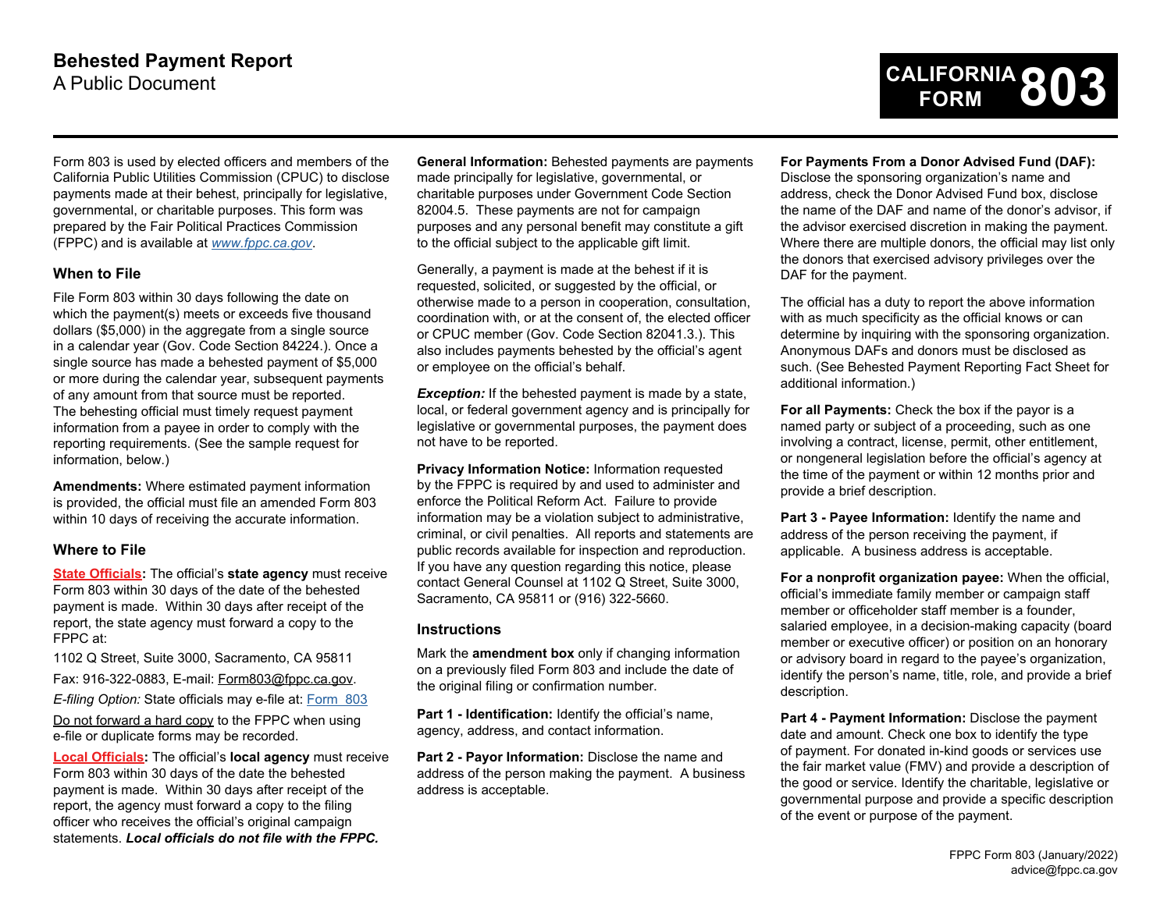

Form 803 is used by elected officers and members of the California Public Utilities Commission (CPUC) to disclose payments made at their behest, principally for legislative, governmental, or charitable purposes. This form was prepared by the Fair Political Practices Commission (FPPC) and is available at *[www.fppc.ca.gov](https://www.fppc.ca.gov)*.

## **When to File**

File Form 803 within 30 days following the date on which the payment(s) meets or exceeds five thousand dollars (\$5,000) in the aggregate from a single source in a calendar year (Gov. Code Section 84224.). Once a single source has made a behested payment of \$5,000 or more during the calendar year, subsequent payments of any amount from that source must be reported. The behesting official must timely request payment information from a payee in order to comply with the reporting requirements. (See the sample request for information, below.)

**Amendments:** Where estimated payment information is provided, the official must file an amended Form 803 within 10 days of receiving the accurate information.

## **Where to File**

**State Officials:** The official's **state agency** must receive Form 803 within 30 days of the date of the behested payment is made. Within 30 days after receipt of the report, the state agency must forward a copy to the FPPC at:

1102 Q Street, Suite 3000, Sacramento, CA 95811

Fax: 916-322-0883, E-mail: [Form803@fppc.ca.gov.](mailto:Form803@fppc.ca.gov)

*E-filing Option:* State officials may e-file at: [Form 803](https://smartforms.fppc.ca.gov/) 

Do not forward a hard copy to the FPPC when using e-file or duplicate forms may be recorded.

**Local Officials:** The official's **local agency** must receive Form 803 within 30 days of the date the behested payment is made. Within 30 days after receipt of the report, the agency must forward a copy to the filing officer who receives the official's original campaign statements. *Local officials do not file with the FPPC.* 

 82004.5. These payments are not for campaign **General Information:** Behested payments are payments made principally for legislative, governmental, or charitable purposes under Government Code Section purposes and any personal benefit may constitute a gift to the official subject to the applicable gift limit.

Generally, a payment is made at the behest if it is requested, solicited, or suggested by the official, or otherwise made to a person in cooperation, consultation, coordination with, or at the consent of, the elected officer or CPUC member (Gov. Code Section 82041.3.). This also includes payments behested by the official's agent or employee on the official's behalf.

**Exception:** If the behested payment is made by a state, local, or federal government agency and is principally for legislative or governmental purposes, the payment does not have to be reported.

**Privacy Information Notice:** Information requested by the FPPC is required by and used to administer and enforce the Political Reform Act. Failure to provide information may be a violation subject to administrative, criminal, or civil penalties. All reports and statements are public records available for inspection and reproduction. If you have any question regarding this notice, please contact General Counsel at 1102 Q Street, Suite 3000, Sacramento, CA 95811 or (916) 322-5660.

## **Instructions**

Mark the **amendment box** only if changing information on a previously filed Form 803 and include the date of the original filing or confirmation number.

**Part 1 - Identification:** Identify the official's name, agency, address, and contact information.

Part 2 - Payor Information: Disclose the name and address of the person making the payment. A business address is acceptable.

#### **For Payments From a Donor Advised Fund (DAF):**

Disclose the sponsoring organization's name and address, check the Donor Advised Fund box, disclose the name of the DAF and name of the donor's advisor, if the advisor exercised discretion in making the payment. Where there are multiple donors, the official may list only the donors that exercised advisory privileges over the DAF for the payment.

The official has a duty to report the above information with as much specificity as the official knows or can determine by inquiring with the sponsoring organization. Anonymous DAFs and donors must be disclosed as such. (See Behested Payment Reporting Fact Sheet for additional information.)

**For all Payments:** Check the box if the payor is a named party or subject of a proceeding, such as one involving a contract, license, permit, other entitlement, or nongeneral legislation before the official's agency at the time of the payment or within 12 months prior and provide a brief description.

**Part 3 - Payee Information:** Identify the name and address of the person receiving the payment, if applicable. A business address is acceptable.

**For a nonprofit organization payee:** When the official, official's immediate family member or campaign staff member or officeholder staff member is a founder, salaried employee, in a decision-making capacity (board member or executive officer) or position on an honorary or advisory board in regard to the payee's organization, identify the person's name, title, role, and provide a brief description.

**Part 4 - Payment Information:** Disclose the payment date and amount. Check one box to identify the type of payment. For donated in-kind goods or services use the fair market value (FMV) and provide a description of the good or service. Identify the charitable, legislative or governmental purpose and provide a specific description of the event or purpose of the payment.